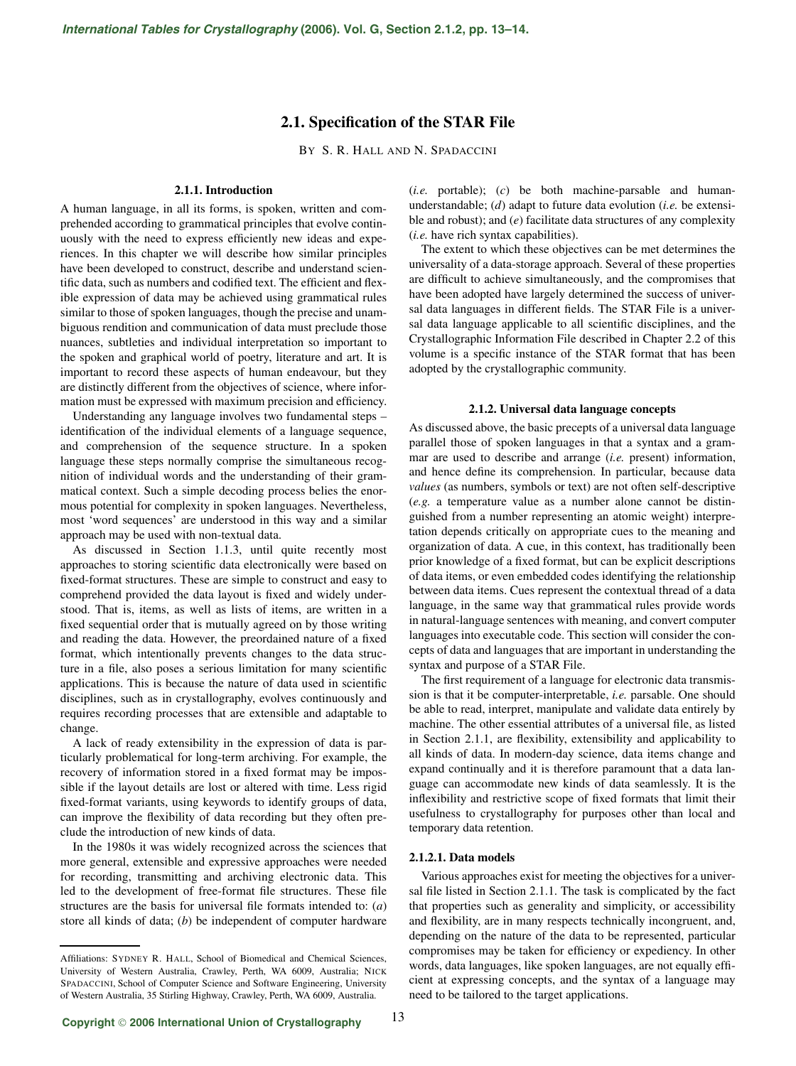# **2.1. Specification of the STAR File**

BY S. R. HALL AND N. SPADACCINI

## **2.1.1. Introduction**

A human language, in all its forms, is spoken, written and comprehended according to grammatical principles that evolve continuously with the need to express efficiently new ideas and experiences. In this chapter we will describe how similar principles have been developed to construct, describe and understand scientific data, such as numbers and codified text. The efficient and flexible expression of data may be achieved using grammatical rules similar to those of spoken languages, though the precise and unambiguous rendition and communication of data must preclude those nuances, subtleties and individual interpretation so important to the spoken and graphical world of poetry, literature and art. It is important to record these aspects of human endeavour, but they are distinctly different from the objectives of science, where information must be expressed with maximum precision and efficiency.

Understanding any language involves two fundamental steps – identification of the individual elements of a language sequence, and comprehension of the sequence structure. In a spoken language these steps normally comprise the simultaneous recognition of individual words and the understanding of their grammatical context. Such a simple decoding process belies the enormous potential for complexity in spoken languages. Nevertheless, most 'word sequences' are understood in this way and a similar approach may be used with non-textual data.

As discussed in Section 1.1.3, until quite recently most approaches to storing scientific data electronically were based on fixed-format structures. These are simple to construct and easy to comprehend provided the data layout is fixed and widely understood. That is, items, as well as lists of items, are written in a fixed sequential order that is mutually agreed on by those writing and reading the data. However, the preordained nature of a fixed format, which intentionally prevents changes to the data structure in a file, also poses a serious limitation for many scientific applications. This is because the nature of data used in scientific disciplines, such as in crystallography, evolves continuously and requires recording processes that are extensible and adaptable to change.

A lack of ready extensibility in the expression of data is particularly problematical for long-term archiving. For example, the recovery of information stored in a fixed format may be impossible if the layout details are lost or altered with time. Less rigid fixed-format variants, using keywords to identify groups of data, can improve the flexibility of data recording but they often preclude the introduction of new kinds of data.

In the 1980s it was widely recognized across the sciences that more general, extensible and expressive approaches were needed for recording, transmitting and archiving electronic data. This led to the development of free-format file structures. These file structures are the basis for universal file formats intended to: (*a*) store all kinds of data; (*b*) be independent of computer hardware

(*i.e.* portable); (*c*) be both machine-parsable and humanunderstandable; (*d*) adapt to future data evolution (*i.e.* be extensible and robust); and (*e*) facilitate data structures of any complexity (*i.e.* have rich syntax capabilities).

The extent to which these objectives can be met determines the universality of a data-storage approach. Several of these properties are difficult to achieve simultaneously, and the compromises that have been adopted have largely determined the success of universal data languages in different fields. The STAR File is a universal data language applicable to all scientific disciplines, and the Crystallographic Information File described in Chapter 2.2 of this volume is a specific instance of the STAR format that has been adopted by the crystallographic community.

#### **2.1.2. Universal data language concepts**

As discussed above, the basic precepts of a universal data language parallel those of spoken languages in that a syntax and a grammar are used to describe and arrange (*i.e.* present) information, and hence define its comprehension. In particular, because data *values* (as numbers, symbols or text) are not often self-descriptive (*e.g.* a temperature value as a number alone cannot be distinguished from a number representing an atomic weight) interpretation depends critically on appropriate cues to the meaning and organization of data. A cue, in this context, has traditionally been prior knowledge of a fixed format, but can be explicit descriptions of data items, or even embedded codes identifying the relationship between data items. Cues represent the contextual thread of a data language, in the same way that grammatical rules provide words in natural-language sentences with meaning, and convert computer languages into executable code. This section will consider the concepts of data and languages that are important in understanding the syntax and purpose of a STAR File.

The first requirement of a language for electronic data transmission is that it be computer-interpretable, *i.e.* parsable. One should be able to read, interpret, manipulate and validate data entirely by machine. The other essential attributes of a universal file, as listed in Section 2.1.1, are flexibility, extensibility and applicability to all kinds of data. In modern-day science, data items change and expand continually and it is therefore paramount that a data language can accommodate new kinds of data seamlessly. It is the inflexibility and restrictive scope of fixed formats that limit their usefulness to crystallography for purposes other than local and temporary data retention.

## **2.1.2.1. Data models**

Various approaches exist for meeting the objectives for a universal file listed in Section 2.1.1. The task is complicated by the fact that properties such as generality and simplicity, or accessibility and flexibility, are in many respects technically incongruent, and, depending on the nature of the data to be represented, particular compromises may be taken for efficiency or expediency. In other words, data languages, like spoken languages, are not equally efficient at expressing concepts, and the syntax of a language may need to be tailored to the target applications.

Affiliations: SYDNEY R. HALL, School of Biomedical and Chemical Sciences, University of Western Australia, Crawley, Perth, WA 6009, Australia; NICK SPADACCINI, School of Computer Science and Software Engineering, University of Western Australia, 35 Stirling Highway, Crawley, Perth, WA 6009, Australia.